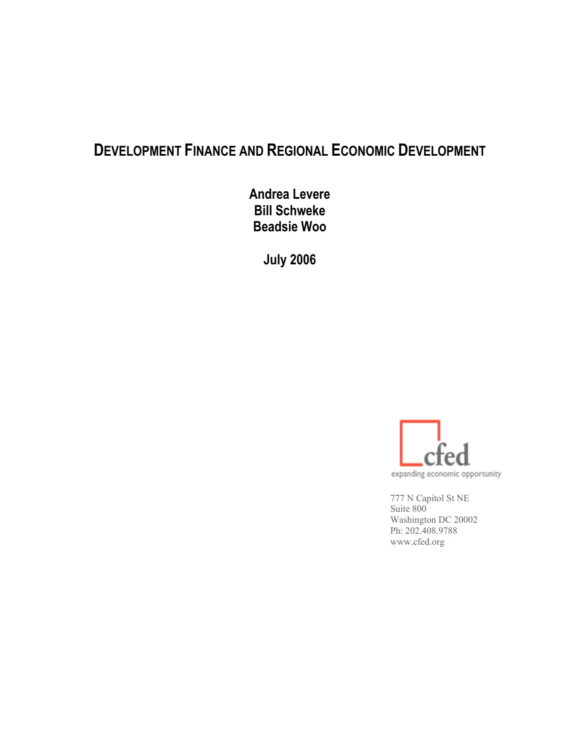# **DEVELOPMENT FINANCE AND REGIONAL ECONOMIC DEVELOPMENT**

**Andrea Levere Bill Schweke Beadsie Woo**

**July 2006** 



777 N Capitol St NE Suite 800 Washington DC 20002 Ph: 202.408.9788 www.cfed.org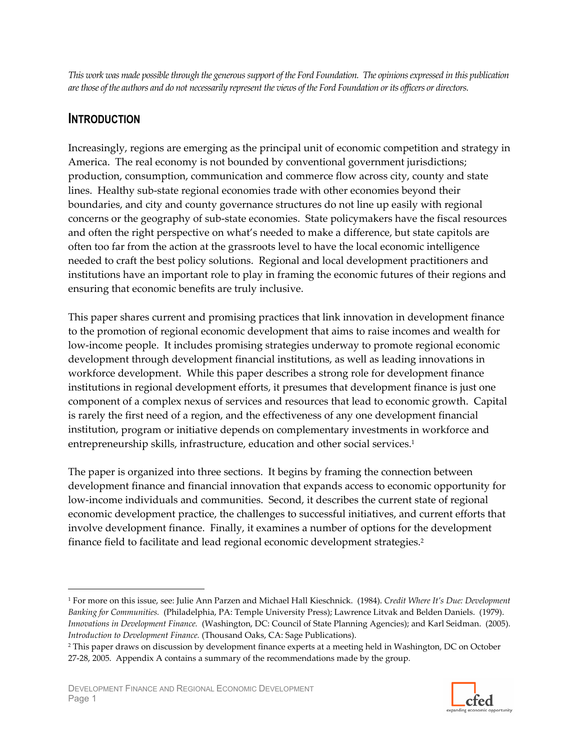This work was made possible through the generous support of the Ford Foundation. The opinions expressed in this publication are those of the authors and do not necessarily represent the views of the Ford Foundation or its officers or directors.

# **INTRODUCTION**

 $\overline{a}$ 

Increasingly, regions are emerging as the principal unit of economic competition and strategy in America. The real economy is not bounded by conventional government jurisdictions; production, consumption, communication and commerce flow across city, county and state lines. Healthy sub-state regional economies trade with other economies beyond their boundaries, and city and county governance structures do not line up easily with regional concerns or the geography of sub-state economies. State policymakers have the fiscal resources and often the right perspective on what's needed to make a difference, but state capitols are often too far from the action at the grassroots level to have the local economic intelligence needed to craft the best policy solutions. Regional and local development practitioners and institutions have an important role to play in framing the economic futures of their regions and ensuring that economic benefits are truly inclusive.

This paper shares current and promising practices that link innovation in development finance to the promotion of regional economic development that aims to raise incomes and wealth for low-income people. It includes promising strategies underway to promote regional economic development through development financial institutions, as well as leading innovations in workforce development. While this paper describes a strong role for development finance institutions in regional development efforts, it presumes that development finance is just one component of a complex nexus of services and resources that lead to economic growth. Capital is rarely the first need of a region, and the effectiveness of any one development financial institution, program or initiative depends on complementary investments in workforce and entrepreneurship skills, infrastructure, education and other social services. $^{\rm 1}$ 

The paper is organized into three sections. It begins by framing the connection between development finance and financial innovation that expands access to economic opportunity for low-income individuals and communities. Second, it describes the current state of regional economic development practice, the challenges to successful initiatives, and current efforts that involve development finance. Finally, it examines a number of options for the development finance field to facilitate and lead regional economic development strategies. $^{\text{2}}$ 



<sup>&</sup>lt;sup>1</sup> For more on this issue, see: Julie Ann Parzen and Michael Hall Kieschnick. (1984). Credit Where It's Due: Development *Banking for Communities.* (Philadelphia, PA: Temple University Press); Lawrence Litvak and Belden Daniels. (1979). *Innovations in Development Finance.* (Washington, DC: Council of State Planning Agencies); and Karl Seidman. (2005). *Introduction to Development Finance.* (Thousand Oaks, CA: Sage Publications).

<sup>&</sup>lt;sup>2</sup> This paper draws on discussion by development finance experts at a meeting held in Washington, DC on October  $27-28$ ,  $2005$ . Appendix A contains a summary of the recommendations made by the group.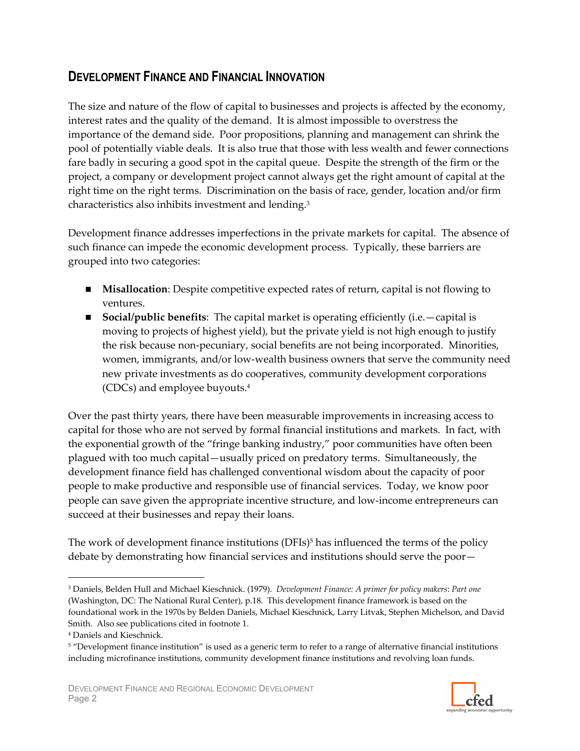# **DEVELOPMENT FINANCE AND FINANCIAL INNOVATION**

The size and nature of the flow of capital to businesses and projects is affected by the economy, interest rates and the quality of the demand. It is almost impossible to overstress the importance of the demand side. Poor propositions, planning and management can shrink the pool of potentially viable deals. It is also true that those with less wealth and fewer connections fare badly in securing a good spot in the capital queue. Despite the strength of the firm or the project, a company or development project cannot always get the right amount of capital at the right time on the right terms. Discrimination on the basis of race, gender, location and/or firm characteristics also inhibits investment and lending.<sup>3</sup>

Development finance addresses imperfections in the private markets for capital. The absence of such finance can impede the economic development process. Typically, these barriers are grouped into two categories:

- **IDED** Misallocation: Despite competitive expected rates of return, capital is not flowing to ventures.
- **Social/public benefits:** The capital market is operating efficiently (i.e.  $-\text{capital}$  is moving to projects of highest yield), but the private yield is not high enough to justify the risk because non-pecuniary, social benefits are not being incorporated. Minorities, women, immigrants, and/or low-wealth business owners that serve the community need new private investments as do cooperatives, community development corporations (CDCs) and employee buyouts.<sup>4</sup>

Over the past thirty years, there have been measurable improvements in increasing access to capital for those who are not served by formal financial institutions and markets. In fact, with the exponential growth of the "fringe banking industry," poor communities have often been plagued with too much capital-usually priced on predatory terms. Simultaneously, the development finance field has challenged conventional wisdom about the capacity of poor people to make productive and responsible use of financial services. Today, we know poor people can save given the appropriate incentive structure, and low-income entrepreneurs can succeed at their businesses and repay their loans.

The work of development finance institutions (DFIs)<sup>5</sup> has influenced the terms of the policy debate by demonstrating how financial services and institutions should serve the poor—



<sup>&</sup>lt;sup>3</sup> Daniels, Belden Hull and Michael Kieschnick. (1979). Development Finance: A primer for policy makers: Part one (Washington, DC: The National Rural Center), p.18. This development finance framework is based on the foundational work in the 1970s by Belden Daniels, Michael Kieschnick, Larry Litvak, Stephen Michelson, and David Smith. Also see publications cited in footnote 1.

<sup>&</sup>lt;sup>4</sup> Daniels and Kieschnick.

<sup>&</sup>lt;sup>5</sup> "Development finance institution" is used as a generic term to refer to a range of alternative financial institutions including microfinance institutions, community development finance institutions and revolving loan funds.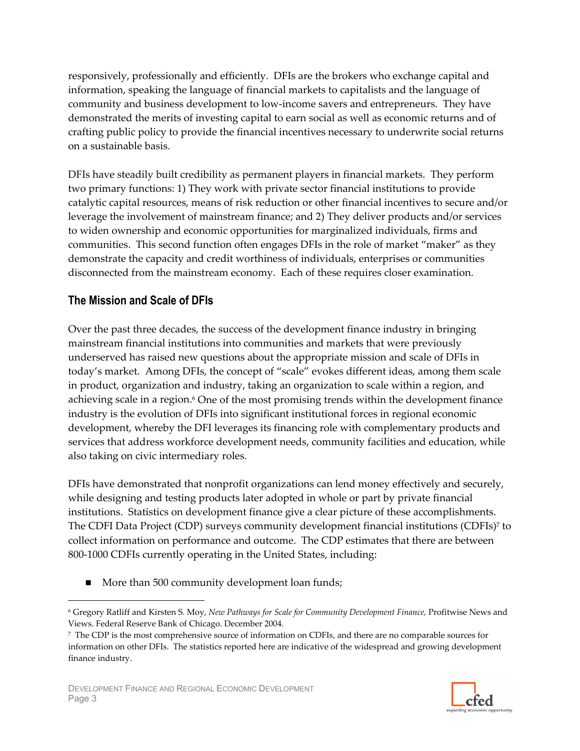responsively, professionally and efficiently. DFIs are the brokers who exchange capital and information, speaking the language of financial markets to capitalists and the language of community and business development to low-income savers and entrepreneurs. They have demonstrated the merits of investing capital to earn social as well as economic returns and of crafting public policy to provide the financial incentives necessary to underwrite social returns on a sustainable basis.

DFIs have steadily built credibility as permanent players in financial markets. They perform two primary functions: 1) They work with private sector financial institutions to provide catalytic capital resources, means of risk reduction or other financial incentives to secure and/or leverage the involvement of mainstream finance; and 2) They deliver products and/or services to widen ownership and economic opportunities for marginalized individuals, firms and communities. This second function often engages DFIs in the role of market "maker" as they demonstrate the capacity and credit worthiness of individuals, enterprises or communities disconnected from the mainstream economy. Each of these requires closer examination.

# The Mission and Scale of DFIs

Over the past three decades, the success of the development finance industry in bringing mainstream financial institutions into communities and markets that were previously underserved has raised new questions about the appropriate mission and scale of DFIs in today's market. Among DFIs, the concept of "scale" evokes different ideas, among them scale in product, organization and industry, taking an organization to scale within a region, and achieving scale in a region.<sup>6</sup> One of the most promising trends within the development finance industry is the evolution of DFIs into significant institutional forces in regional economic development, whereby the DFI leverages its financing role with complementary products and services that address workforce development needs, community facilities and education, while also taking on civic intermediary roles.

DFIs have demonstrated that nonprofit organizations can lend money effectively and securely, while designing and testing products later adopted in whole or part by private financial institutions. Statistics on development finance give a clear picture of these accomplishments. The CDFI Data Project (CDP) surveys community development financial institutions (CDFIs)7 to collect information on performance and outcome. The CDP estimates that there are between 800-1000 CDFIs currently operating in the United States, including:

More than 500 community development loan funds;



<sup>&</sup>lt;sup>6</sup> Gregory Ratliff and Kirsten S. Moy, New Pathways for Scale for Community Development Finance, Profitwise News and Views. Federal Reserve Bank of Chicago. December 2004.

<sup>7</sup> The CDP is the most comprehensive source of information on CDFIs, and there are no comparable sources for information on other DFIs. The statistics reported here are indicative of the widespread and growing development finance industry.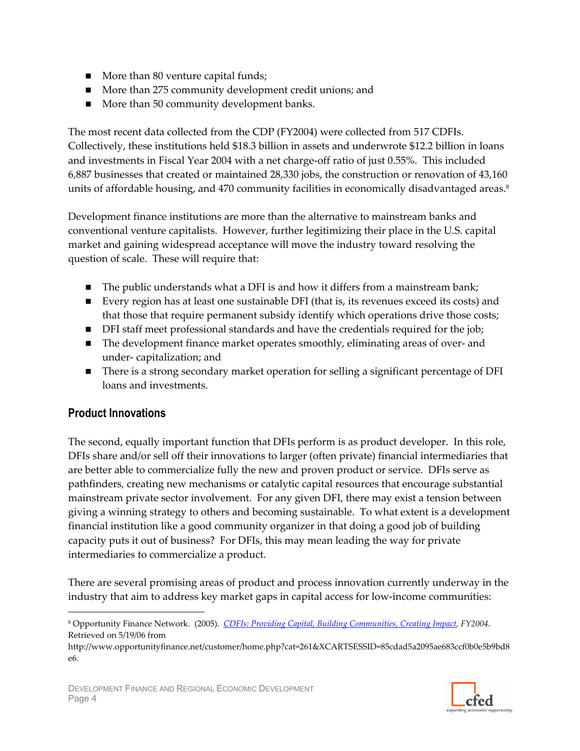- More than 80 venture capital funds;
- More than 275 community development credit unions; and
- More than 50 community development banks.

The most recent data collected from the CDP (FY2004) were collected from 517 CDFIs. Collectively, these institutions held \$18.3 billion in assets and underwrote \$12.2 billion in loans and investments in Fiscal Year 2004 with a net charge-off ratio of just 0.55%. This included 6,887 businesses that created or maintained 28,330 jobs, the construction or renovation of 43,160 units of affordable housing, and 470 community facilities in economically disadvantaged areas.<sup>8</sup>

Development finance institutions are more than the alternative to mainstream banks and conventional venture capitalists. However, further legitimizing their place in the U.S. capital market and gaining widespread acceptance will move the industry toward resolving the question of scale. These will require that:

- $\blacksquare$  The public understands what a DFI is and how it differs from a mainstream bank;
- Every region has at least one sustainable DFI (that is, its revenues exceed its costs) and that those that require permanent subsidy identify which operations drive those costs;
- DFI staff meet professional standards and have the credentials required for the job;
- The development finance market operates smoothly, eliminating areas of over- and under-capitalization; and
- There is a strong secondary market operation for selling a significant percentage of DFI loans and investments.

# **Product Innovations**

The second, equally important function that DFIs perform is as product developer. In this role, DFIs share and/or sell off their innovations to larger (often private) financial intermediaries that are better able to commercialize fully the new and proven product or service. DFIs serve as pathfinders, creating new mechanisms or catalytic capital resources that encourage substantial mainstream private sector involvement. For any given DFI, there may exist a tension between giving a winning strategy to others and becoming sustainable. To what extent is a development financial institution like a good community organizer in that doing a good job of building capacity puts it out of business? For DFIs, this may mean leading the way for private intermediaries to commercialize a product.

There are several promising areas of product and process innovation currently underway in the industry that aim to address key market gaps in capital access for low-income communities:



<sup>&</sup>lt;sup>8</sup> Opportunity Finance Network. (2005). CDFIs: Providing Capital, Building Communities, Creating Impact, FY2004. Retrieved on 5/19/06 from

http://www.opportunityfinance.net/customer/home.php?cat=261&XCARTSESSID=85cdad5a2095ae683ccf0b0e5b9bd8 e6.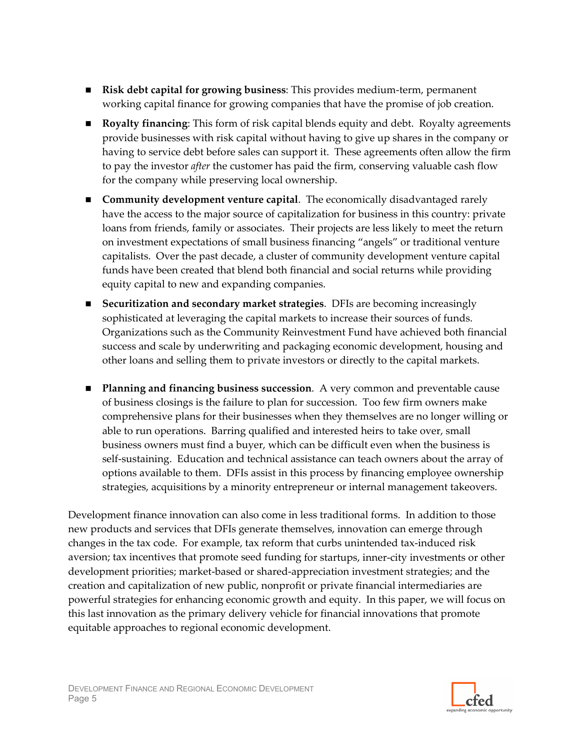- **Example 1** Risk debt capital for growing business: This provides medium-term, permanent working capital finance for growing companies that have the promise of job creation.
- **Royalty financing:** This form of risk capital blends equity and debt. Royalty agreements provide businesses with risk capital without having to give up shares in the company or having to service debt before sales can support it. These agreements often allow the firm to pay the investor *after* the customer has paid the firm, conserving valuable cash flow for the company while preserving local ownership.
- Community development venture capital. The economically disadvantaged rarely have the access to the major source of capitalization for business in this country: private loans from friends, family or associates. Their projects are less likely to meet the return on investment expectations of small business financing "angels" or traditional venture capitalists. Over the past decade, a cluster of community development venture capital funds have been created that blend both financial and social returns while providing equity capital to new and expanding companies.
- **E** Securitization and secondary market strategies. DFIs are becoming increasingly sophisticated at leveraging the capital markets to increase their sources of funds. Organizations such as the Community Reinvestment Fund have achieved both financial success and scale by underwriting and packaging economic development, housing and other loans and selling them to private investors or directly to the capital markets.
- Planning and financing business succession. A very common and preventable cause of business closings is the failure to plan for succession. Too few firm owners make comprehensive plans for their businesses when they themselves are no longer willing or able to run operations. Barring qualified and interested heirs to take over, small business owners must find a buyer, which can be difficult even when the business is self-sustaining. Education and technical assistance can teach owners about the array of options available to them. DFIs assist in this process by financing employee ownership strategies, acquisitions by a minority entrepreneur or internal management takeovers.

Development finance innovation can also come in less traditional forms. In addition to those new products and services that DFIs generate themselves, innovation can emerge through changes in the tax code. For example, tax reform that curbs unintended tax-induced risk aversion; tax incentives that promote seed funding for startups, inner-city investments or other development priorities; market-based or shared-appreciation investment strategies; and the creation and capitalization of new public, nonprofit or private financial intermediaries are powerful strategies for enhancing economic growth and equity. In this paper, we will focus on this last innovation as the primary delivery vehicle for financial innovations that promote equitable approaches to regional economic development.

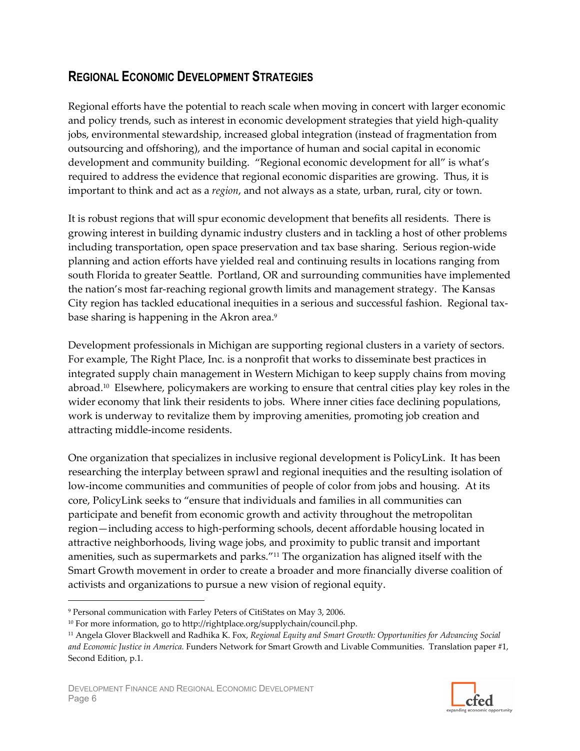# **REGIONAL ECONOMIC DEVELOPMENT STRATEGIES**

Regional efforts have the potential to reach scale when moving in concert with larger economic and policy trends, such as interest in economic development strategies that yield high-quality jobs, environmental stewardship, increased global integration (instead of fragmentation from outsourcing and offshoring), and the importance of human and social capital in economic development and community building. "Regional economic development for all" is what's required to address the evidence that regional economic disparities are growing. Thus, it is important to think and act as a region, and not always as a state, urban, rural, city or town.

It is robust regions that will spur economic development that benefits all residents. There is growing interest in building dynamic industry clusters and in tackling a host of other problems including transportation, open space preservation and tax base sharing. Serious region-wide planning and action efforts have yielded real and continuing results in locations ranging from south Florida to greater Seattle. Portland, OR and surrounding communities have implemented the nation's most far-reaching regional growth limits and management strategy. The Kansas City region has tackled educational inequities in a serious and successful fashion. Regional taxbase sharing is happening in the Akron area.<sup>9</sup>

Development professionals in Michigan are supporting regional clusters in a variety of sectors. For example, The Right Place, Inc. is a nonprofit that works to disseminate best practices in integrated supply chain management in Western Michigan to keep supply chains from moving abroad.<sup>10</sup> Elsewhere, policymakers are working to ensure that central cities play key roles in the wider economy that link their residents to jobs. Where inner cities face declining populations, work is underway to revitalize them by improving amenities, promoting job creation and attracting middle-income residents.

One organization that specializes in inclusive regional development is PolicyLink. It has been researching the interplay between sprawl and regional inequities and the resulting isolation of low-income communities and communities of people of color from jobs and housing. At its core, PolicyLink seeks to "ensure that individuals and families in all communities can participate and benefit from economic growth and activity throughout the metropolitan region—including access to high-performing schools, decent affordable housing located in attractive neighborhoods, living wage jobs, and proximity to public transit and important amenities, such as supermarkets and parks."<sup>11</sup> The organization has aligned itself with the Smart Growth movement in order to create a broader and more financially diverse coalition of activists and organizations to pursue a new vision of regional equity.



<sup>&</sup>lt;sup>9</sup> Personal communication with Farley Peters of CitiStates on May 3, 2006.

<sup>&</sup>lt;sup>10</sup> For more information, go to http://rightplace.org/supplychain/council.php.

<sup>&</sup>lt;sup>11</sup> Angela Glover Blackwell and Radhika K. Fox, Regional Equity and Smart Growth: Opportunities for Advancing Social and Economic Justice in America. Funders Network for Smart Growth and Livable Communities. Translation paper #1, Second Edition, p.1.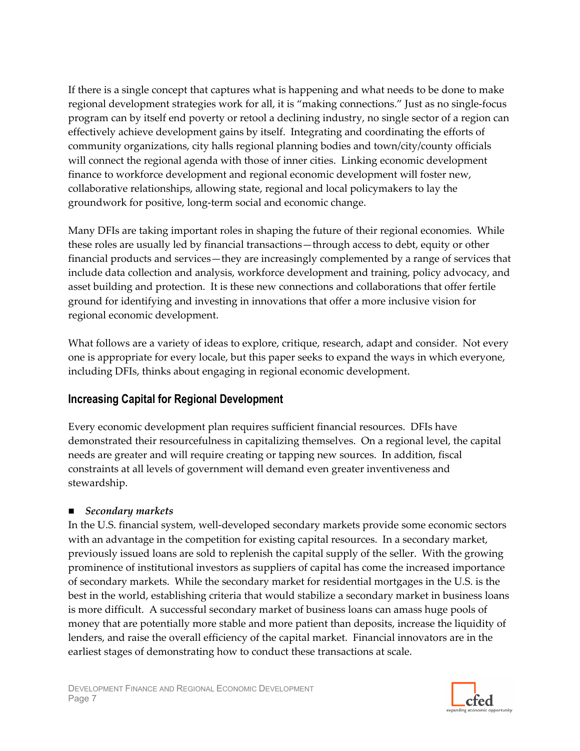If there is a single concept that captures what is happening and what needs to be done to make regional development strategies work for all, it is "making connections." Just as no single-focus program can by itself end poverty or retool a declining industry, no single sector of a region can effectively achieve development gains by itself. Integrating and coordinating the efforts of community organizations, city halls regional planning bodies and town/city/county officials will connect the regional agenda with those of inner cities. Linking economic development finance to workforce development and regional economic development will foster new, collaborative relationships, allowing state, regional and local policymakers to lay the groundwork for positive, long-term social and economic change.

Many DFIs are taking important roles in shaping the future of their regional economies. While these roles are usually led by financial transactions-through access to debt, equity or other financial products and services—they are increasingly complemented by a range of services that include data collection and analysis, workforce development and training, policy advocacy, and asset building and protection. It is these new connections and collaborations that offer fertile ground for identifying and investing in innovations that offer a more inclusive vision for regional economic development.

What follows are a variety of ideas to explore, critique, research, adapt and consider. Not every one is appropriate for every locale, but this paper seeks to expand the ways in which everyone, including DFIs, thinks about engaging in regional economic development.

# **Increasing Capital for Regional Development**

Every economic development plan requires sufficient financial resources. DFIs have demonstrated their resourcefulness in capitalizing themselves. On a regional level, the capital needs are greater and will require creating or tapping new sources. In addition, fiscal constraints at all levels of government will demand even greater inventiveness and stewardship.

# ■ Secondary markets

In the U.S. financial system, well-developed secondary markets provide some economic sectors with an advantage in the competition for existing capital resources. In a secondary market, previously issued loans are sold to replenish the capital supply of the seller. With the growing prominence of institutional investors as suppliers of capital has come the increased importance of secondary markets. While the secondary market for residential mortgages in the U.S. is the best in the world, establishing criteria that would stabilize a secondary market in business loans is more difficult. A successful secondary market of business loans can amass huge pools of money that are potentially more stable and more patient than deposits, increase the liquidity of lenders, and raise the overall efficiency of the capital market. Financial innovators are in the earliest stages of demonstrating how to conduct these transactions at scale.

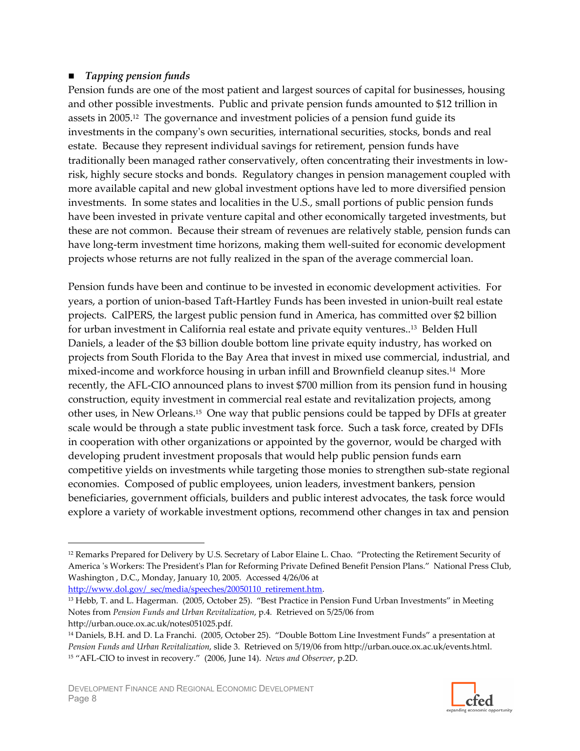#### $\blacksquare$  Tapping pension funds

Pension funds are one of the most patient and largest sources of capital for businesses, housing and other possible investments. Public and private pension funds amounted to \$12 trillion in assets in 2005.<sup>12</sup> The governance and investment policies of a pension fund guide its investments in the company's own securities, international securities, stocks, bonds and real estate. Because they represent individual savings for retirement, pension funds have traditionally been managed rather conservatively, often concentrating their investments in lowrisk, highly secure stocks and bonds. Regulatory changes in pension management coupled with more available capital and new global investment options have led to more diversified pension investments. In some states and localities in the U.S., small portions of public pension funds have been invested in private venture capital and other economically targeted investments, but these are not common. Because their stream of revenues are relatively stable, pension funds can have long-term investment time horizons, making them well-suited for economic development projects whose returns are not fully realized in the span of the average commercial loan.

Pension funds have been and continue to be invested in economic development activities. For years, a portion of union-based Taft-Hartley Funds has been invested in union-built real estate projects. CalPERS, the largest public pension fund in America, has committed over \$2 billion for urban investment in California real estate and private equity ventures..<sup>13</sup> Belden Hull Daniels, a leader of the \$3 billion double bottom line private equity industry, has worked on projects from South Florida to the Bay Area that invest in mixed use commercial, industrial, and mixed-income and workforce housing in urban infill and Brownfield cleanup sites.<sup>14</sup> More recently, the AFL-CIO announced plans to invest \$700 million from its pension fund in housing construction, equity investment in commercial real estate and revitalization projects, among other uses, in New Orleans.<sup>15</sup> One way that public pensions could be tapped by DFIs at greater scale would be through a state public investment task force. Such a task force, created by DFIs in cooperation with other organizations or appointed by the governor, would be charged with developing prudent investment proposals that would help public pension funds earn competitive yields on investments while targeting those monies to strengthen sub-state regional economies. Composed of public employees, union leaders, investment bankers, pension beneficiaries, government officials, builders and public interest advocates, the task force would explore a variety of workable investment options, recommend other changes in tax and pension

<sup>13</sup> Hebb, T. and L. Hagerman. (2005, October 25). "Best Practice in Pension Fund Urban Investments" in Meeting Notes from Pension Funds and Urban Revitalization, p.4. Retrieved on 5/25/06 from http://urban.ouce.ox.ac.uk/notes051025.pdf.



<sup>&</sup>lt;sup>12</sup> Remarks Prepared for Delivery by U.S. Secretary of Labor Elaine L. Chao. "Protecting the Retirement Security of America 's Workers: The President's Plan for Reforming Private Defined Benefit Pension Plans." National Press Club, Washington, D.C., Monday, January 10, 2005. Accessed 4/26/06 at http://www.dol.gov/ sec/media/speeches/20050110 retirement.htm.

<sup>&</sup>lt;sup>14</sup> Daniels, B.H. and D. La Franchi. (2005, October 25). "Double Bottom Line Investment Funds" a presentation at Pension Funds and Urban Revitalization, slide 3. Retrieved on 5/19/06 from http://urban.ouce.ox.ac.uk/events.html. <sup>15</sup> "AFL-CIO to invest in recovery." (2006, June 14). News and Observer, p.2D.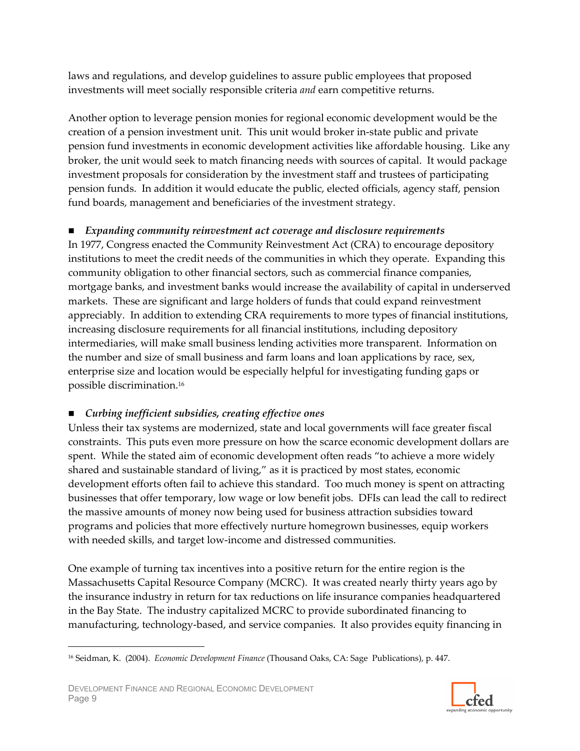laws and regulations, and develop guidelines to assure public employees that proposed investments will meet socially responsible criteria and earn competitive returns.

Another option to leverage pension monies for regional economic development would be the creation of a pension investment unit. This unit would broker in-state public and private pension fund investments in economic development activities like affordable housing. Like any broker, the unit would seek to match financing needs with sources of capital. It would package investment proposals for consideration by the investment staff and trustees of participating pension funds. In addition it would educate the public, elected officials, agency staff, pension fund boards, management and beneficiaries of the investment strategy.

# ■ Expanding community reinvestment act coverage and disclosure requirements

In 1977, Congress enacted the Community Reinvestment Act (CRA) to encourage depository institutions to meet the credit needs of the communities in which they operate. Expanding this community obligation to other financial sectors, such as commercial finance companies, mortgage banks, and investment banks would increase the availability of capital in underserved markets. These are significant and large holders of funds that could expand reinvestment appreciably. In addition to extending CRA requirements to more types of financial institutions, increasing disclosure requirements for all financial institutions, including depository intermediaries, will make small business lending activities more transparent. Information on the number and size of small business and farm loans and loan applications by race, sex, enterprise size and location would be especially helpful for investigating funding gaps or possible discrimination.<sup>16</sup>

# ■ Curbing inefficient subsidies, creating effective ones

Unless their tax systems are modernized, state and local governments will face greater fiscal constraints. This puts even more pressure on how the scarce economic development dollars are spent. While the stated aim of economic development often reads "to achieve a more widely shared and sustainable standard of living," as it is practiced by most states, economic development efforts often fail to achieve this standard. Too much money is spent on attracting businesses that offer temporary, low wage or low benefit jobs. DFIs can lead the call to redirect the massive amounts of money now being used for business attraction subsidies toward programs and policies that more effectively nurture homegrown businesses, equip workers with needed skills, and target low-income and distressed communities.

One example of turning tax incentives into a positive return for the entire region is the Massachusetts Capital Resource Company (MCRC). It was created nearly thirty years ago by the insurance industry in return for tax reductions on life insurance companies headquartered in the Bay State. The industry capitalized MCRC to provide subordinated financing to manufacturing, technology-based, and service companies. It also provides equity financing in



<sup>&</sup>lt;sup>16</sup> Seidman, K. (2004). Economic Development Finance (Thousand Oaks, CA: Sage Publications), p. 447.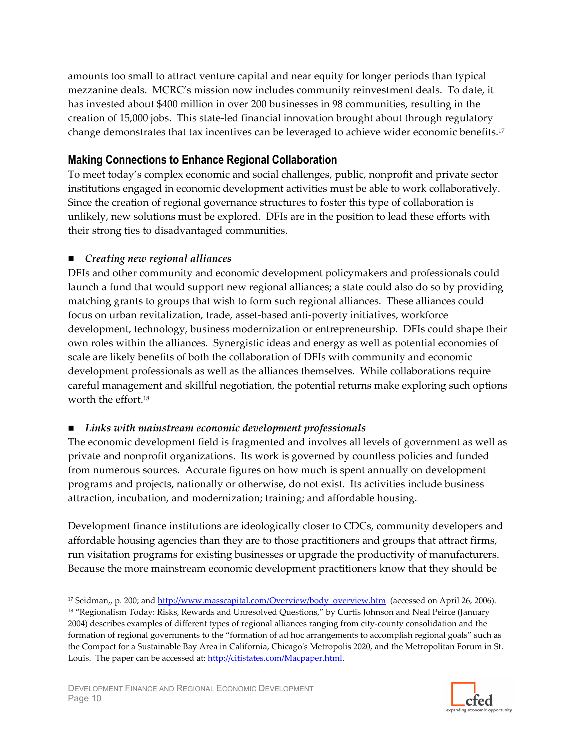amounts too small to attract venture capital and near equity for longer periods than typical mezzanine deals. MCRC's mission now includes community reinvestment deals. To date, it has invested about \$400 million in over 200 businesses in 98 communities, resulting in the creation of 15,000 jobs. This state-led financial innovation brought about through regulatory change demonstrates that tax incentives can be leveraged to achieve wider economic benefits.<sup>17</sup>

# **Making Connections to Enhance Regional Collaboration**

To meet today's complex economic and social challenges, public, nonprofit and private sector institutions engaged in economic development activities must be able to work collaboratively. Since the creation of regional governance structures to foster this type of collaboration is unlikely, new solutions must be explored. DFIs are in the position to lead these efforts with their strong ties to disadvantaged communities.

# $\blacksquare$  Creating new regional alliances

DFIs and other community and economic development policymakers and professionals could launch a fund that would support new regional alliances; a state could also do so by providing matching grants to groups that wish to form such regional alliances. These alliances could focus on urban revitalization, trade, asset-based anti-poverty initiatives, workforce development, technology, business modernization or entrepreneurship. DFIs could shape their own roles within the alliances. Synergistic ideas and energy as well as potential economies of scale are likely benefits of both the collaboration of DFIs with community and economic development professionals as well as the alliances themselves. While collaborations require careful management and skillful negotiation, the potential returns make exploring such options worth the effort.<sup>18</sup>

# $\blacksquare$  Links with mainstream economic development professionals

The economic development field is fragmented and involves all levels of government as well as private and nonprofit organizations. Its work is governed by countless policies and funded from numerous sources. Accurate figures on how much is spent annually on development programs and projects, nationally or otherwise, do not exist. Its activities include business attraction, incubation, and modernization; training; and affordable housing.

Development finance institutions are ideologically closer to CDCs, community developers and affordable housing agencies than they are to those practitioners and groups that attract firms, run visitation programs for existing businesses or upgrade the productivity of manufacturers. Because the more mainstream economic development practitioners know that they should be



<sup>&</sup>lt;sup>17</sup> Seidman,, p. 200; and http://www.masscapital.com/Overview/body overview.htm (accessed on April 26, 2006).

<sup>&</sup>lt;sup>18</sup> "Regionalism Today: Risks, Rewards and Unresolved Questions," by Curtis Johnson and Neal Peirce (January 2004) describes examples of different types of regional alliances ranging from city-county consolidation and the formation of regional governments to the "formation of ad hoc arrangements to accomplish regional goals" such as the Compact for a Sustainable Bay Area in California, Chicago's Metropolis 2020, and the Metropolitan Forum in St. Louis. The paper can be accessed at: http://citistates.com/Macpaper.html.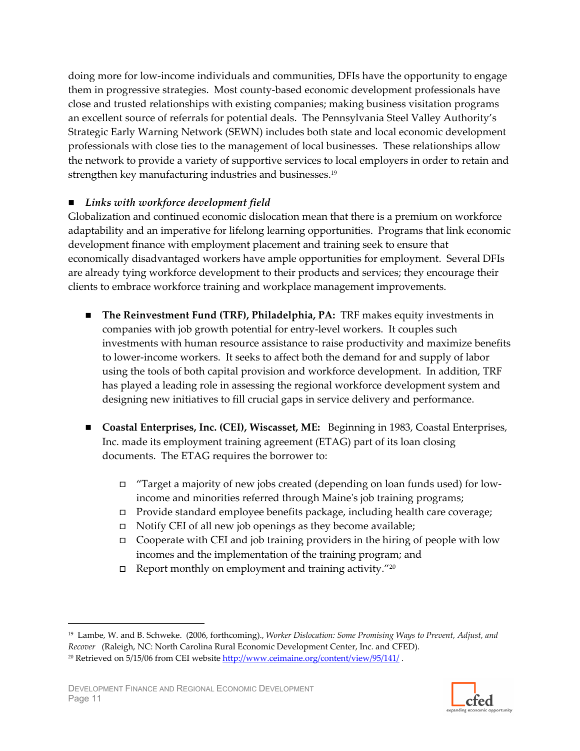doing more for low-income individuals and communities, DFIs have the opportunity to engage them in progressive strategies. Most county-based economic development professionals have close and trusted relationships with existing companies; making business visitation programs an excellent source of referrals for potential deals. The Pennsylvania Steel Valley Authority's Strategic Early Warning Network (SEWN) includes both state and local economic development professionals with close ties to the management of local businesses. These relationships allow the network to provide a variety of supportive services to local employers in order to retain and strengthen key manufacturing industries and businesses.<sup>19</sup>

#### $\blacksquare$  Links with workforce development field

Globalization and continued economic dislocation mean that there is a premium on workforce adaptability and an imperative for lifelong learning opportunities. Programs that link economic development finance with employment placement and training seek to ensure that economically disadvantaged workers have ample opportunities for employment. Several DFIs are already tying workforce development to their products and services; they encourage their clients to embrace workforce training and workplace management improvements.

- **The Reinvestment Fund (TRF), Philadelphia, PA: TRF makes equity investments in** companies with job growth potential for entry-level workers. It couples such investments with human resource assistance to raise productivity and maximize benefits to lower-income workers. It seeks to affect both the demand for and supply of labor using the tools of both capital provision and workforce development. In addition, TRF has played a leading role in assessing the regional workforce development system and designing new initiatives to fill crucial gaps in service delivery and performance.
- Coastal Enterprises, Inc. (CEI), Wiscasset, ME: Beginning in 1983, Coastal Enterprises, Inc. made its employment training agreement (ETAG) part of its loan closing documents. The ETAG requires the borrower to:
	- $\Box$  "Target a majority of new jobs created (depending on loan funds used) for lowincome and minorities referred through Maine's job training programs;
	- $\Box$  Provide standard employee benefits package, including health care coverage;
	- $\Box$  Notify CEI of all new job openings as they become available;
	- Cooperate with CEI and job training providers in the hiring of people with low incomes and the implementation of the training program; and
	- $\Box$  Report monthly on employment and training activity."20



<sup>&</sup>lt;sup>19</sup> Lambe, W. and B. Schweke. (2006, forthcoming)., Worker Dislocation: Some Promising Ways to Prevent, Adjust, and Recover (Raleigh, NC: North Carolina Rural Economic Development Center, Inc. and CFED). <sup>20</sup> Retrieved on 5/15/06 from CEI website http://www.ceimaine.org/content/view/95/141/.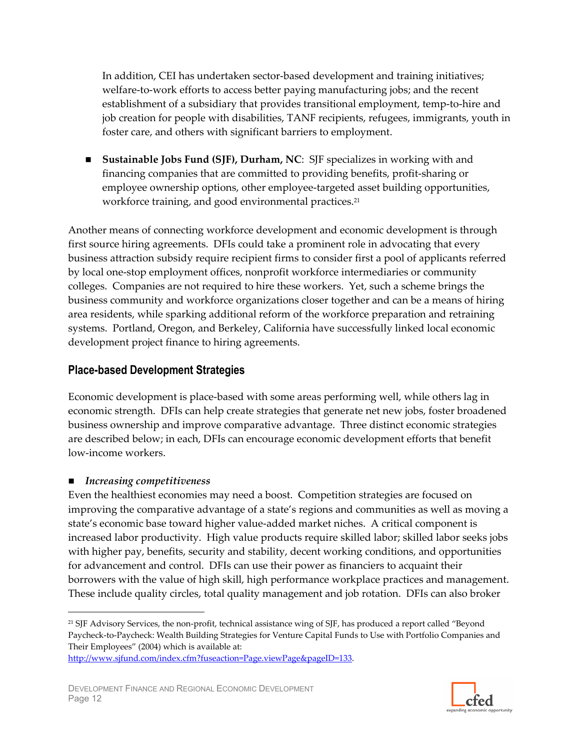In addition, CEI has undertaken sector-based development and training initiatives; welfare-to-work efforts to access better paying manufacturing jobs; and the recent establishment of a subsidiary that provides transitional employment, temp-to-hire and job creation for people with disabilities, TANF recipients, refugees, immigrants, youth in foster care, and others with significant barriers to employment.

**Sustainable Jobs Fund (SJF), Durham, NC:** SJF specializes in working with and financing companies that are committed to providing benefits, profit-sharing or employee ownership options, other employee-targeted asset building opportunities, workforce training, and good environmental practices.<sup>21</sup>

Another means of connecting workforce development and economic development is through first source hiring agreements. DFIs could take a prominent role in advocating that every business attraction subsidy require recipient firms to consider first a pool of applicants referred by local one-stop employment offices, nonprofit workforce intermediaries or community colleges. Companies are not required to hire these workers. Yet, such a scheme brings the business community and workforce organizations closer together and can be a means of hiring area residents, while sparking additional reform of the workforce preparation and retraining systems. Portland, Oregon, and Berkeley, California have successfully linked local economic development project finance to hiring agreements.

# **Place-based Development Strategies**

Economic development is place-based with some areas performing well, while others lag in economic strength. DFIs can help create strategies that generate net new jobs, foster broadened business ownership and improve comparative advantage. Three distinct economic strategies are described below; in each, DFIs can encourage economic development efforts that benefit low-income workers.

#### $\blacksquare$  Increasing competitiveness

Even the healthiest economies may need a boost. Competition strategies are focused on improving the comparative advantage of a state's regions and communities as well as moving a state's economic base toward higher value-added market niches. A critical component is increased labor productivity. High value products require skilled labor; skilled labor seeks jobs with higher pay, benefits, security and stability, decent working conditions, and opportunities for advancement and control. DFIs can use their power as financiers to acquaint their borrowers with the value of high skill, high performance workplace practices and management. These include quality circles, total quality management and job rotation. DFIs can also broker



<sup>&</sup>lt;sup>21</sup> SJF Advisory Services, the non-profit, technical assistance wing of SJF, has produced a report called "Beyond Paycheck-to-Paycheck: Wealth Building Strategies for Venture Capital Funds to Use with Portfolio Companies and Their Employees" (2004) which is available at:

http://www.sjfund.com/index.cfm?fuseaction=Page.viewPage&pageID=133.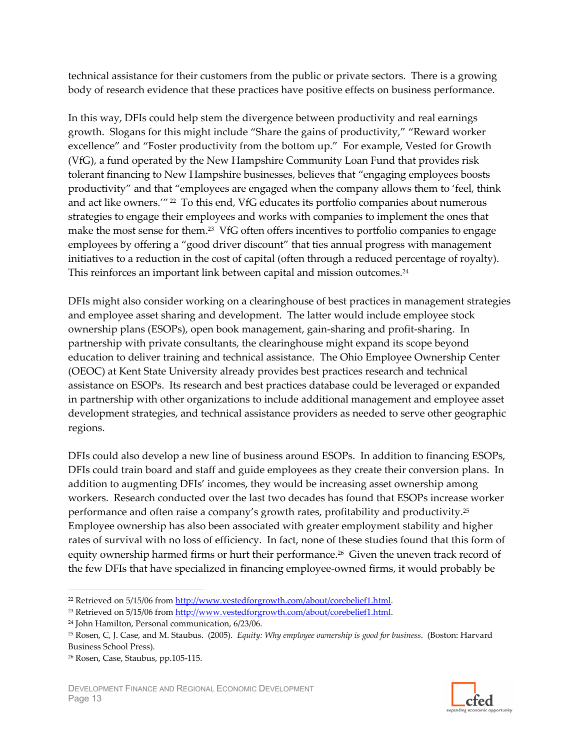technical assistance for their customers from the public or private sectors. There is a growing body of research evidence that these practices have positive effects on business performance.

In this way, DFIs could help stem the divergence between productivity and real earnings growth. Slogans for this might include "Share the gains of productivity," "Reward worker" excellence" and "Foster productivity from the bottom up." For example, Vested for Growth (VfG), a fund operated by the New Hampshire Community Loan Fund that provides risk tolerant financing to New Hampshire businesses, believes that "engaging employees boosts productivity" and that "employees are engaged when the company allows them to 'feel, think and act like owners." <sup>22</sup> To this end, VfG educates its portfolio companies about numerous strategies to engage their employees and works with companies to implement the ones that make the most sense for them.<sup>23</sup> VfG often offers incentives to portfolio companies to engage employees by offering a "good driver discount" that ties annual progress with management initiatives to a reduction in the cost of capital (often through a reduced percentage of royalty). This reinforces an important link between capital and mission outcomes.<sup>24</sup>

DFIs might also consider working on a clearinghouse of best practices in management strategies and employee asset sharing and development. The latter would include employee stock ownership plans (ESOPs), open book management, gain-sharing and profit-sharing. In partnership with private consultants, the clearinghouse might expand its scope beyond education to deliver training and technical assistance. The Ohio Employee Ownership Center (OEOC) at Kent State University already provides best practices research and technical assistance on ESOPs. Its research and best practices database could be leveraged or expanded in partnership with other organizations to include additional management and employee asset development strategies, and technical assistance providers as needed to serve other geographic regions.

DFIs could also develop a new line of business around ESOPs. In addition to financing ESOPs, DFIs could train board and staff and guide employees as they create their conversion plans. In addition to augmenting DFIs' incomes, they would be increasing asset ownership among workers. Research conducted over the last two decades has found that ESOPs increase worker performance and often raise a company's growth rates, profitability and productivity.<sup>25</sup> Employee ownership has also been associated with greater employment stability and higher rates of survival with no loss of efficiency. In fact, none of these studies found that this form of equity ownership harmed firms or hurt their performance.<sup>26</sup> Given the uneven track record of the few DFIs that have specialized in financing employee-owned firms, it would probably be



<sup>&</sup>lt;sup>22</sup> Retrieved on 5/15/06 from http://www.vestedforgrowth.com/about/corebelief1.html.

<sup>&</sup>lt;sup>23</sup> Retrieved on 5/15/06 from http://www.vestedforgrowth.com/about/corebelief1.html.

<sup>&</sup>lt;sup>24</sup> John Hamilton, Personal communication, 6/23/06.

<sup>&</sup>lt;sup>25</sup> Rosen, C, J. Case, and M. Staubus. (2005). Equity: Why employee ownership is good for business. (Boston: Harvard Business School Press).

<sup>&</sup>lt;sup>26</sup> Rosen, Case, Staubus, pp.105-115.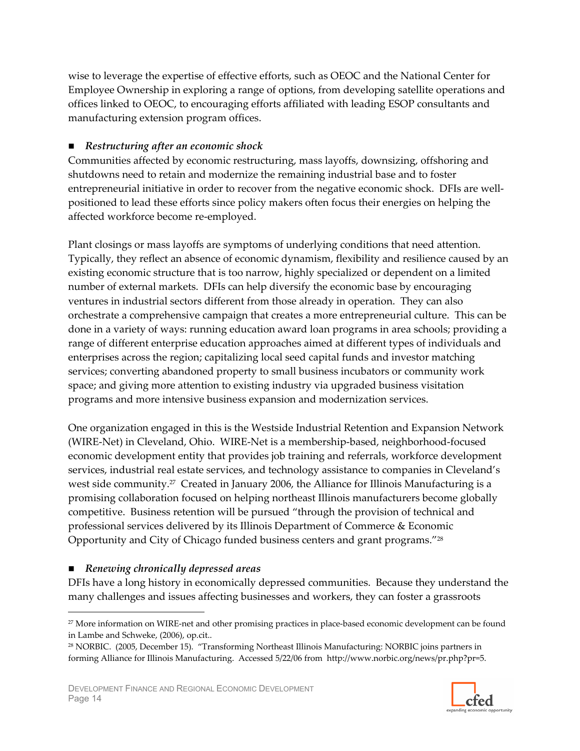wise to leverage the expertise of effective efforts, such as OEOC and the National Center for Employee Ownership in exploring a range of options, from developing satellite operations and offices linked to OEOC, to encouraging efforts affiliated with leading ESOP consultants and manufacturing extension program offices.

#### Restructuring after an economic shock

Communities affected by economic restructuring, mass layoffs, downsizing, offshoring and shutdowns need to retain and modernize the remaining industrial base and to foster entrepreneurial initiative in order to recover from the negative economic shock. DFIs are wellpositioned to lead these efforts since policy makers often focus their energies on helping the affected workforce become re-employed.

Plant closings or mass layoffs are symptoms of underlying conditions that need attention. Typically, they reflect an absence of economic dynamism, flexibility and resilience caused by an existing economic structure that is too narrow, highly specialized or dependent on a limited number of external markets. DFIs can help diversify the economic base by encouraging ventures in industrial sectors different from those already in operation. They can also orchestrate a comprehensive campaign that creates a more entrepreneurial culture. This can be done in a variety of ways: running education award loan programs in area schools; providing a range of different enterprise education approaches aimed at different types of individuals and enterprises across the region; capitalizing local seed capital funds and investor matching services; converting abandoned property to small business incubators or community work space; and giving more attention to existing industry via upgraded business visitation programs and more intensive business expansion and modernization services.

One organization engaged in this is the Westside Industrial Retention and Expansion Network (WIRE-Net) in Cleveland, Ohio. WIRE-Net is a membership-based, neighborhood-focused economic development entity that provides job training and referrals, workforce development services, industrial real estate services, and technology assistance to companies in Cleveland's west side community.<sup>27</sup> Created in January 2006, the Alliance for Illinois Manufacturing is a promising collaboration focused on helping northeast Illinois manufacturers become globally competitive. Business retention will be pursued "through the provision of technical and professional services delivered by its Illinois Department of Commerce & Economic Opportunity and City of Chicago funded business centers and grant programs."28

#### Renewing chronically depressed areas

DFIs have a long history in economically depressed communities. Because they understand the many challenges and issues affecting businesses and workers, they can foster a grassroots



<sup>&</sup>lt;sup>27</sup> More information on WIRE-net and other promising practices in place-based economic development can be found in Lambe and Schweke, (2006), op.cit..

<sup>&</sup>lt;sup>28</sup> NORBIC. (2005, December 15). "Transforming Northeast Illinois Manufacturing: NORBIC joins partners in forming Alliance for Illinois Manufacturing. Accessed 5/22/06 from http://www.norbic.org/news/pr.php?pr=5.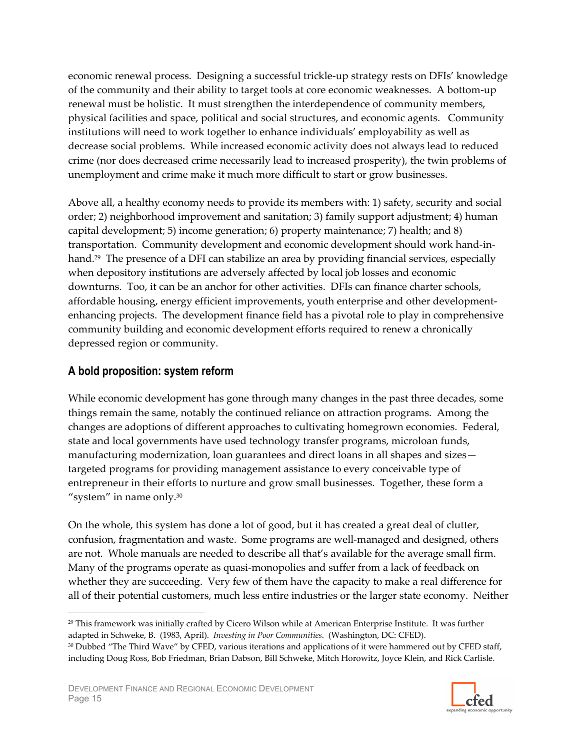economic renewal process. Designing a successful trickle-up strategy rests on DFIs' knowledge of the community and their ability to target tools at core economic weaknesses. A bottom-up renewal must be holistic. It must strengthen the interdependence of community members, physical facilities and space, political and social structures, and economic agents. Community institutions will need to work together to enhance individuals' employability as well as decrease social problems. While increased economic activity does not always lead to reduced crime (nor does decreased crime necessarily lead to increased prosperity), the twin problems of unemployment and crime make it much more difficult to start or grow businesses.

Above all, a healthy economy needs to provide its members with: 1) safety, security and social order; 2) neighborhood improvement and sanitation; 3) family support adjustment; 4) human capital development; 5) income generation; 6) property maintenance; 7) health; and 8) transportation. Community development and economic development should work hand-inhand.<sup>29</sup> The presence of a DFI can stabilize an area by providing financial services, especially when depository institutions are adversely affected by local job losses and economic downturns. Too, it can be an anchor for other activities. DFIs can finance charter schools, affordable housing, energy efficient improvements, youth enterprise and other developmentenhancing projects. The development finance field has a pivotal role to play in comprehensive community building and economic development efforts required to renew a chronically depressed region or community.

# A bold proposition: system reform

While economic development has gone through many changes in the past three decades, some things remain the same, notably the continued reliance on attraction programs. Among the changes are adoptions of different approaches to cultivating homegrown economies. Federal, state and local governments have used technology transfer programs, microloan funds, manufacturing modernization, loan guarantees and direct loans in all shapes and sizestargeted programs for providing management assistance to every conceivable type of entrepreneur in their efforts to nurture and grow small businesses. Together, these form a "system" in name only. $30$ 

On the whole, this system has done a lot of good, but it has created a great deal of clutter, confusion, fragmentation and waste. Some programs are well-managed and designed, others are not. Whole manuals are needed to describe all that's available for the average small firm. Many of the programs operate as quasi-monopolies and suffer from a lack of feedback on whether they are succeeding. Very few of them have the capacity to make a real difference for all of their potential customers, much less entire industries or the larger state economy. Neither



<sup>&</sup>lt;sup>29</sup> This framework was initially crafted by Cicero Wilson while at American Enterprise Institute. It was further adapted in Schweke, B. (1983, April). Investing in Poor Communities. (Washington, DC: CFED).

<sup>30</sup> Dubbed "The Third Wave" by CFED, various iterations and applications of it were hammered out by CFED staff, including Doug Ross, Bob Friedman, Brian Dabson, Bill Schweke, Mitch Horowitz, Joyce Klein, and Rick Carlisle.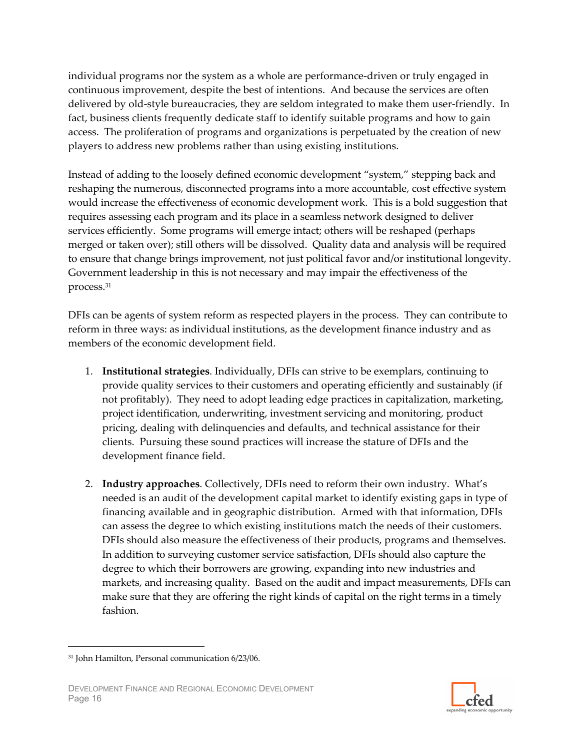individual programs nor the system as a whole are performance-driven or truly engaged in continuous improvement, despite the best of intentions. And because the services are often delivered by old-style bureaucracies, they are seldom integrated to make them user-friendly. In fact, business clients frequently dedicate staff to identify suitable programs and how to gain access. The proliferation of programs and organizations is perpetuated by the creation of new players to address new problems rather than using existing institutions.

Instead of adding to the loosely defined economic development "system," stepping back and reshaping the numerous, disconnected programs into a more accountable, cost effective system would increase the effectiveness of economic development work. This is a bold suggestion that requires assessing each program and its place in a seamless network designed to deliver services efficiently. Some programs will emerge intact; others will be reshaped (perhaps merged or taken over); still others will be dissolved. Quality data and analysis will be required to ensure that change brings improvement, not just political favor and/or institutional longevity. Government leadership in this is not necessary and may impair the effectiveness of the process.<sup>31</sup>

DFIs can be agents of system reform as respected players in the process. They can contribute to reform in three ways: as individual institutions, as the development finance industry and as members of the economic development field.

- 1. Institutional strategies. Individually, DFIs can strive to be exemplars, continuing to provide quality services to their customers and operating efficiently and sustainably (if not profitably). They need to adopt leading edge practices in capitalization, marketing, project identification, underwriting, investment servicing and monitoring, product pricing, dealing with delinquencies and defaults, and technical assistance for their clients. Pursuing these sound practices will increase the stature of DFIs and the development finance field.
- 2. Industry approaches. Collectively, DFIs need to reform their own industry. What's needed is an audit of the development capital market to identify existing gaps in type of financing available and in geographic distribution. Armed with that information, DFIs can assess the degree to which existing institutions match the needs of their customers. DFIs should also measure the effectiveness of their products, programs and themselves. In addition to surveying customer service satisfaction, DFIs should also capture the degree to which their borrowers are growing, expanding into new industries and markets, and increasing quality. Based on the audit and impact measurements, DFIs can make sure that they are offering the right kinds of capital on the right terms in a timely fashion.



<sup>&</sup>lt;sup>31</sup> John Hamilton, Personal communication 6/23/06.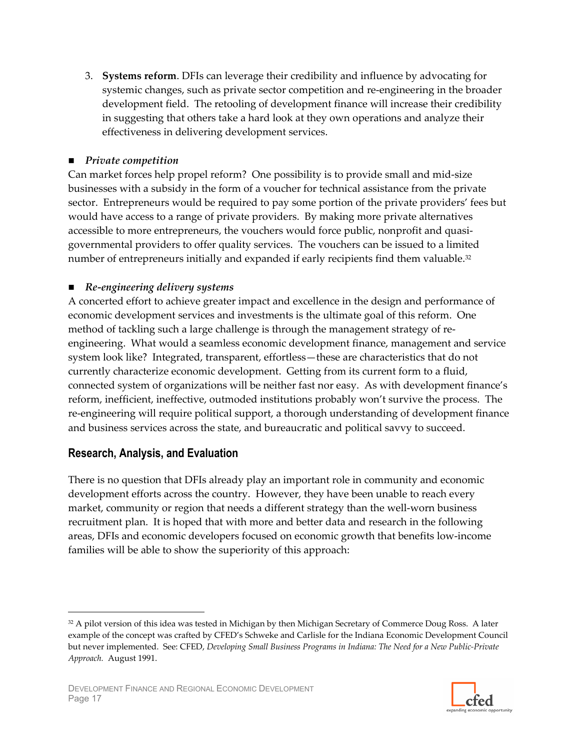3. Systems reform. DFIs can leverage their credibility and influence by advocating for systemic changes, such as private sector competition and re-engineering in the broader development field. The retooling of development finance will increase their credibility in suggesting that others take a hard look at they own operations and analyze their effectiveness in delivering development services.

#### $\blacksquare$  Private competition

Can market forces help propel reform? One possibility is to provide small and mid-size businesses with a subsidy in the form of a voucher for technical assistance from the private sector. Entrepreneurs would be required to pay some portion of the private providers' fees but would have access to a range of private providers. By making more private alternatives accessible to more entrepreneurs, the vouchers would force public, nonprofit and quasigovernmental providers to offer quality services. The vouchers can be issued to a limited number of entrepreneurs initially and expanded if early recipients find them valuable.<sup>32</sup>

#### $\blacksquare$  Re-engineering delivery systems

A concerted effort to achieve greater impact and excellence in the design and performance of economic development services and investments is the ultimate goal of this reform. One method of tackling such a large challenge is through the management strategy of reengineering. What would a seamless economic development finance, management and service system look like? Integrated, transparent, effortless—these are characteristics that do not currently characterize economic development. Getting from its current form to a fluid, connected system of organizations will be neither fast nor easy. As with development finance's reform, inefficient, ineffective, outmoded institutions probably won't survive the process. The re-engineering will require political support, a thorough understanding of development finance and business services across the state, and bureaucratic and political savvy to succeed.

# Research, Analysis, and Evaluation

There is no question that DFIs already play an important role in community and economic development efforts across the country. However, they have been unable to reach every market, community or region that needs a different strategy than the well-worn business recruitment plan. It is hoped that with more and better data and research in the following areas, DFIs and economic developers focused on economic growth that benefits low-income families will be able to show the superiority of this approach:

<sup>32</sup> A pilot version of this idea was tested in Michigan by then Michigan Secretary of Commerce Doug Ross. A later example of the concept was crafted by CFED's Schweke and Carlisle for the Indiana Economic Development Council but never implemented. See: CFED, Developing Small Business Programs in Indiana: The Need for a New Public-Private Approach. August 1991.

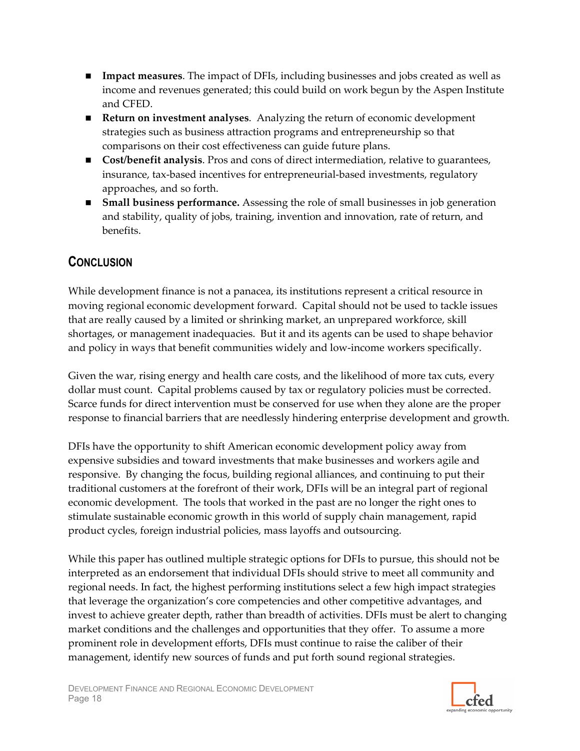- **Impact measures.** The impact of DFIs, including businesses and jobs created as well as income and revenues generated; this could build on work begun by the Aspen Institute and CFED.
- Return on investment analyses. Analyzing the return of economic development strategies such as business attraction programs and entrepreneurship so that comparisons on their cost effectiveness can guide future plans.
- Cost/benefit analysis. Pros and cons of direct intermediation, relative to guarantees, insurance, tax-based incentives for entrepreneurial-based investments, regulatory approaches, and so forth.
- Small business performance. Assessing the role of small businesses in job generation and stability, quality of jobs, training, invention and innovation, rate of return, and benefits.

# **CONCLUSION**

While development finance is not a panacea, its institutions represent a critical resource in moving regional economic development forward. Capital should not be used to tackle issues that are really caused by a limited or shrinking market, an unprepared workforce, skill shortages, or management inadequacies. But it and its agents can be used to shape behavior and policy in ways that benefit communities widely and low-income workers specifically.

Given the war, rising energy and health care costs, and the likelihood of more tax cuts, every dollar must count. Capital problems caused by tax or regulatory policies must be corrected. Scarce funds for direct intervention must be conserved for use when they alone are the proper response to financial barriers that are needlessly hindering enterprise development and growth.

DFIs have the opportunity to shift American economic development policy away from expensive subsidies and toward investments that make businesses and workers agile and responsive. By changing the focus, building regional alliances, and continuing to put their traditional customers at the forefront of their work, DFIs will be an integral part of regional economic development. The tools that worked in the past are no longer the right ones to stimulate sustainable economic growth in this world of supply chain management, rapid product cycles, foreign industrial policies, mass layoffs and outsourcing.

While this paper has outlined multiple strategic options for DFIs to pursue, this should not be interpreted as an endorsement that individual DFIs should strive to meet all community and regional needs. In fact, the highest performing institutions select a few high impact strategies that leverage the organization's core competencies and other competitive advantages, and invest to achieve greater depth, rather than breadth of activities. DFIs must be alert to changing market conditions and the challenges and opportunities that they offer. To assume a more prominent role in development efforts, DFIs must continue to raise the caliber of their management, identify new sources of funds and put forth sound regional strategies.

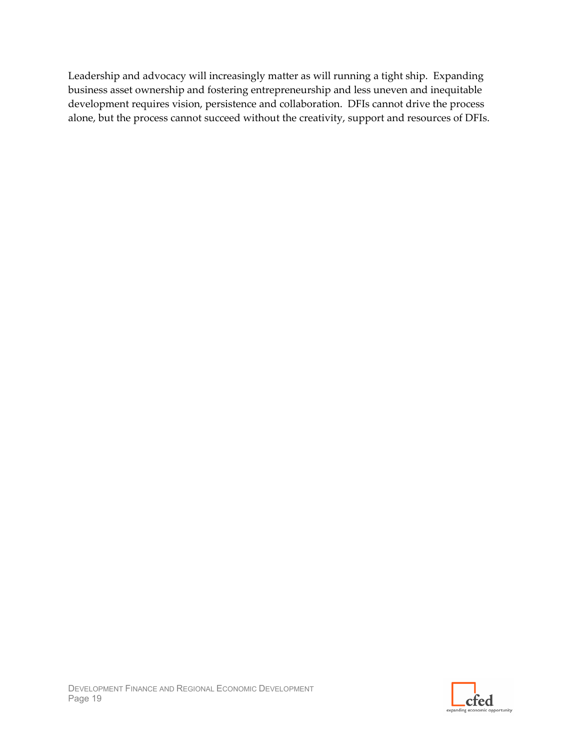Leadership and advocacy will increasingly matter as will running a tight ship. Expanding business asset ownership and fostering entrepreneurship and less uneven and inequitable development requires vision, persistence and collaboration. DFIs cannot drive the process alone, but the process cannot succeed without the creativity, support and resources of DFIs.

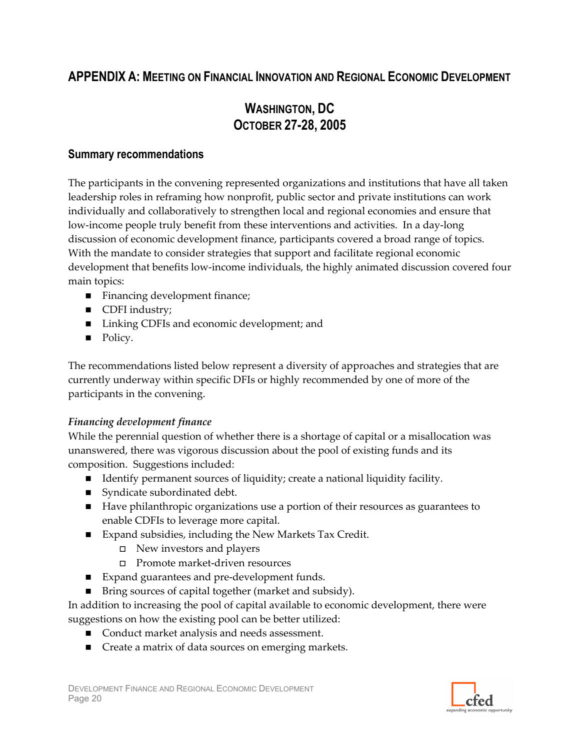# **APPENDIX A: MEETING ON FINANCIAL INNOVATION AND REGIONAL ECONOMIC DEVELOPMENT**

# **WASHINGTON, DC OCTOBER 27-28, 2005**

# **Summary recommendations**

The participants in the convening represented organizations and institutions that have all taken leadership roles in reframing how nonprofit, public sector and private institutions can work individually and collaboratively to strengthen local and regional economies and ensure that low-income people truly benefit from these interventions and activities. In a day-long discussion of economic development finance, participants covered a broad range of topics. With the mandate to consider strategies that support and facilitate regional economic development that benefits low-income individuals, the highly animated discussion covered four main topics:

- Financing development finance;
- CDFI industry;
- Linking CDFIs and economic development; and
- Policy.

The recommendations listed below represent a diversity of approaches and strategies that are currently underway within specific DFIs or highly recommended by one of more of the participants in the convening.

# Financing development finance

While the perennial question of whether there is a shortage of capital or a misallocation was unanswered, there was vigorous discussion about the pool of existing funds and its composition. Suggestions included:

- Identify permanent sources of liquidity; create a national liquidity facility.
- Syndicate subordinated debt.
- Have philanthropic organizations use a portion of their resources as guarantees to enable CDFIs to leverage more capital.
- Expand subsidies, including the New Markets Tax Credit.
	- $\Box$  New investors and players
	- $\Box$  Promote market-driven resources
- Expand guarantees and pre-development funds.
- Bring sources of capital together (market and subsidy).

In addition to increasing the pool of capital available to economic development, there were suggestions on how the existing pool can be better utilized:

- Conduct market analysis and needs assessment.
- Create a matrix of data sources on emerging markets.

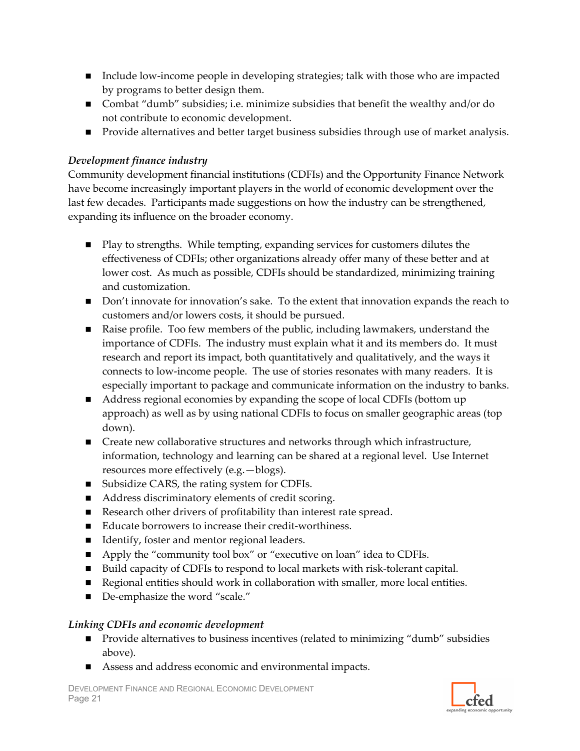- Include low-income people in developing strategies; talk with those who are impacted by programs to better design them.
- Combat "dumb" subsidies; i.e. minimize subsidies that benefit the wealthy and/or do not contribute to economic development.
- Provide alternatives and better target business subsidies through use of market analysis.

#### Development finance industry

Community development financial institutions (CDFIs) and the Opportunity Finance Network have become increasingly important players in the world of economic development over the last few decades. Participants made suggestions on how the industry can be strengthened, expanding its influence on the broader economy.

- Play to strengths. While tempting, expanding services for customers dilutes the effectiveness of CDFIs; other organizations already offer many of these better and at lower cost. As much as possible, CDFIs should be standardized, minimizing training and customization.
- Don't innovate for innovation's sake. To the extent that innovation expands the reach to customers and/or lowers costs, it should be pursued.
- Raise profile. Too few members of the public, including lawmakers, understand the importance of CDFIs. The industry must explain what it and its members do. It must research and report its impact, both quantitatively and qualitatively, and the ways it connects to low-income people. The use of stories resonates with many readers. It is especially important to package and communicate information on the industry to banks.
- Address regional economies by expanding the scope of local CDFIs (bottom up approach) as well as by using national CDFIs to focus on smaller geographic areas (top down).
- Create new collaborative structures and networks through which infrastructure, information, technology and learning can be shared at a regional level. Use Internet resources more effectively (e.g. -blogs).
- Subsidize CARS, the rating system for CDFIs.
- Address discriminatory elements of credit scoring.
- Research other drivers of profitability than interest rate spread.
- Educate borrowers to increase their credit-worthiness.
- Identify, foster and mentor regional leaders.
- Apply the "community tool box" or "executive on loan" idea to CDFIs.
- Build capacity of CDFIs to respond to local markets with risk-tolerant capital.
- Regional entities should work in collaboration with smaller, more local entities.
- De-emphasize the word "scale."

# Linking CDFIs and economic development

- Provide alternatives to business incentives (related to minimizing "dumb" subsidies above).
- Assess and address economic and environmental impacts.